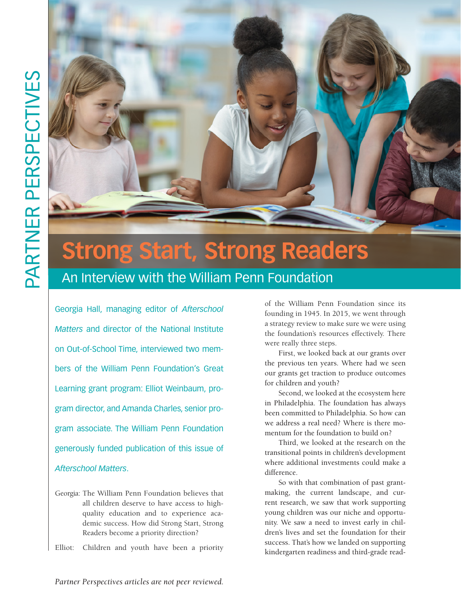

## **Strong Start, Strong Readers**

An Interview with the William Penn Foundation

Georgia Hall, managing editor of *Afterschool Matters* and director of the National Institute on Out-of-School Time, interviewed two members of the William Penn Foundation's Great Learning grant program: Elliot Weinbaum, program director, and Amanda Charles, senior program associate. The William Penn Foundation generously funded publication of this issue of *Afterschool Matters*.

Georgia: The William Penn Foundation believes that all children deserve to have access to highquality education and to experience academic success. How did Strong Start, Strong Readers become a priority direction?

Elliot: Children and youth have been a priority

of the William Penn Foundation since its founding in 1945. In 2015, we went through a strategy review to make sure we were using the foundation's resources effectively. There were really three steps.

First, we looked back at our grants over the previous ten years. Where had we seen our grants get traction to produce outcomes for children and youth?

Second, we looked at the ecosystem here in Philadelphia. The foundation has always been committed to Philadelphia. So how can we address a real need? Where is there momentum for the foundation to build on?

Third, we looked at the research on the transitional points in children's development where additional investments could make a difference.

So with that combination of past grantmaking, the current landscape, and current research, we saw that work supporting young children was our niche and opportunity. We saw a need to invest early in children's lives and set the foundation for their success. That's how we landed on supporting kindergarten readiness and third-grade read